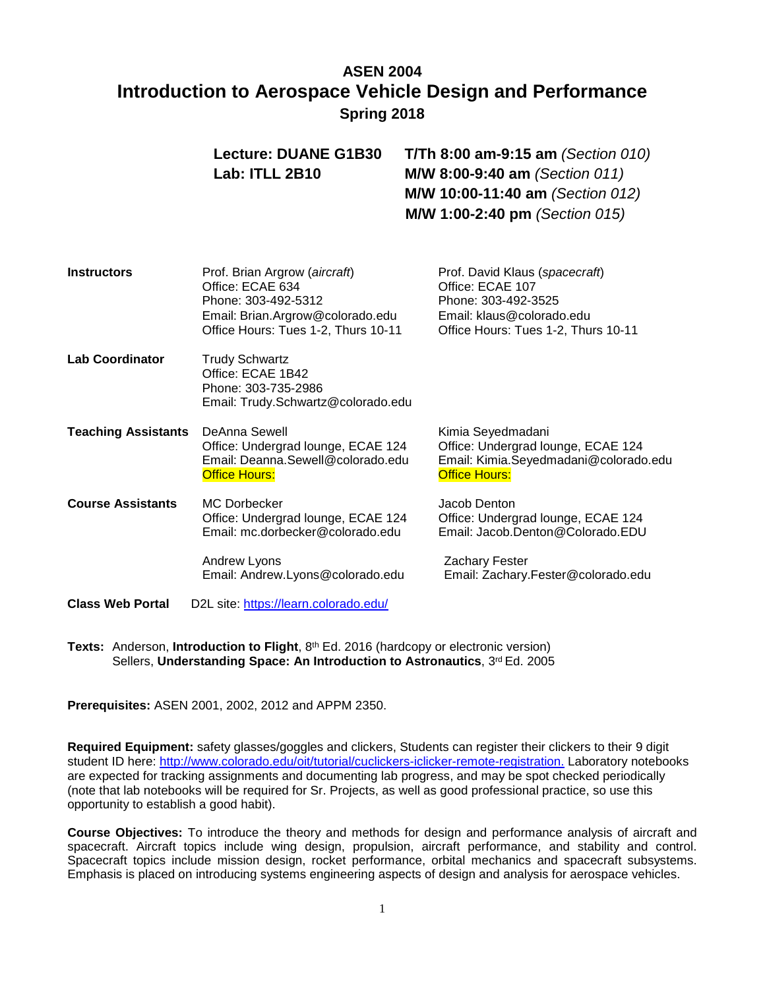# **ASEN 2004 Introduction to Aerospace Vehicle Design and Performance Spring 2018**

|                            | <b>Lecture: DUANE G1B30</b><br>Lab: ITLL 2B10                                                                                                       | <b>T/Th 8:00 am-9:15 am</b> (Section 010)<br>M/W 8:00-9:40 am (Section 011)<br>M/W 10:00-11:40 am (Section 012)<br>M/W 1:00-2:40 pm (Section 015) |
|----------------------------|-----------------------------------------------------------------------------------------------------------------------------------------------------|---------------------------------------------------------------------------------------------------------------------------------------------------|
| Instructors                | Prof. Brian Argrow (aircraft)<br>Office: ECAE 634<br>Phone: 303-492-5312<br>Email: Brian.Argrow@colorado.edu<br>Office Hours: Tues 1-2, Thurs 10-11 | Prof. David Klaus (spacecraft)<br>Office: ECAE 107<br>Phone: 303-492-3525<br>Email: klaus@colorado.edu<br>Office Hours: Tues 1-2, Thurs 10-11     |
| <b>Lab Coordinator</b>     | <b>Trudy Schwartz</b><br>Office: ECAE 1B42<br>Phone: 303-735-2986<br>Email: Trudy.Schwartz@colorado.edu                                             |                                                                                                                                                   |
| <b>Teaching Assistants</b> | DeAnna Sewell<br>Office: Undergrad lounge, ECAE 124<br>Email: Deanna.Sewell@colorado.edu<br><b>Office Hours:</b>                                    | Kimia Seyedmadani<br>Office: Undergrad lounge, ECAE 124<br>Email: Kimia.Seyedmadani@colorado.edu<br><b>Office Hours:</b>                          |
| <b>Course Assistants</b>   | <b>MC Dorbecker</b><br>Office: Undergrad lounge, ECAE 124<br>Email: mc.dorbecker@colorado.edu                                                       | Jacob Denton<br>Office: Undergrad lounge, ECAE 124<br>Email: Jacob.Denton@Colorado.EDU                                                            |
|                            | <b>Andrew Lyons</b><br>Email: Andrew.Lyons@colorado.edu                                                                                             | <b>Zachary Fester</b><br>Email: Zachary.Fester@colorado.edu                                                                                       |
| <b>Class Web Portal</b>    | D2L site: https://learn.colorado.edu/                                                                                                               |                                                                                                                                                   |

**Texts:** Anderson, **Introduction to Flight**, 8th Ed. 2016 (hardcopy or electronic version) Sellers, **Understanding Space: An Introduction to Astronautics**, 3rd Ed. 2005

**Prerequisites:** ASEN 2001, 2002, 2012 and APPM 2350.

**Required Equipment:** safety glasses/goggles and clickers, Students can register their clickers to their 9 digit student ID here: [http://www.colorado.edu/oit/tutorial/cuclickers-iclicker-remote-registration.](http://www.colorado.edu/oit/tutorial/cuclickers-iclicker-remote-registration) Laboratory notebooks are expected for tracking assignments and documenting lab progress, and may be spot checked periodically (note that lab notebooks will be required for Sr. Projects, as well as good professional practice, so use this opportunity to establish a good habit).

**Course Objectives:** To introduce the theory and methods for design and performance analysis of aircraft and spacecraft. Aircraft topics include wing design, propulsion, aircraft performance, and stability and control. Spacecraft topics include mission design, rocket performance, orbital mechanics and spacecraft subsystems. Emphasis is placed on introducing systems engineering aspects of design and analysis for aerospace vehicles.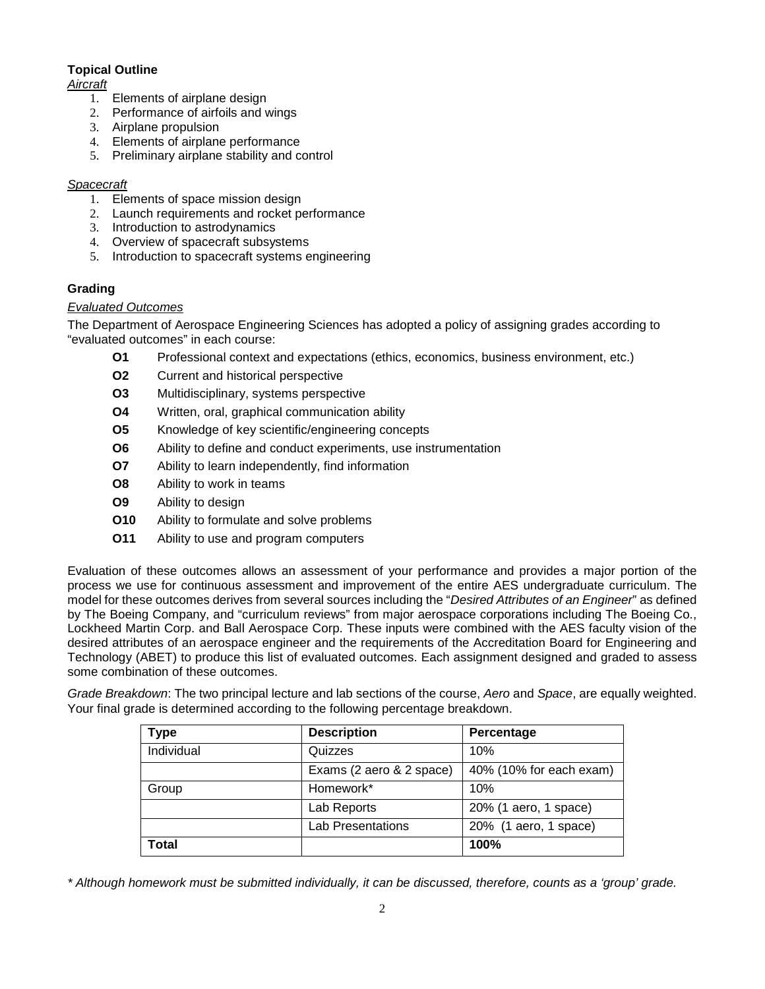# **Topical Outline**

### *Aircraft*

- 1. Elements of airplane design
- 2. Performance of airfoils and wings
- 3. Airplane propulsion
- 4. Elements of airplane performance
- 5. Preliminary airplane stability and control

### *Spacecraft*

- 1. Elements of space mission design
- 2. Launch requirements and rocket performance
- 3. Introduction to astrodynamics
- 4. Overview of spacecraft subsystems
- 5. Introduction to spacecraft systems engineering

# **Grading**

# *Evaluated Outcomes*

The Department of Aerospace Engineering Sciences has adopted a policy of assigning grades according to "evaluated outcomes" in each course:

- **O1** Professional context and expectations (ethics, economics, business environment, etc.)
- **O2** Current and historical perspective
- **O3** Multidisciplinary, systems perspective
- **O4** Written, oral, graphical communication ability
- **O5** Knowledge of key scientific/engineering concepts
- **O6** Ability to define and conduct experiments, use instrumentation
- **O7** Ability to learn independently, find information
- **O8** Ability to work in teams
- **O9** Ability to design
- **O10** Ability to formulate and solve problems
- **O11** Ability to use and program computers

Evaluation of these outcomes allows an assessment of your performance and provides a major portion of the process we use for continuous assessment and improvement of the entire AES undergraduate curriculum. The model for these outcomes derives from several sources including the "*Desired Attributes of an Engineer*" as defined by The Boeing Company, and "curriculum reviews" from major aerospace corporations including The Boeing Co., Lockheed Martin Corp. and Ball Aerospace Corp. These inputs were combined with the AES faculty vision of the desired attributes of an aerospace engineer and the requirements of the Accreditation Board for Engineering and Technology (ABET) to produce this list of evaluated outcomes. Each assignment designed and graded to assess some combination of these outcomes.

*Grade Breakdown*: The two principal lecture and lab sections of the course, *Aero* and *Space*, are equally weighted. Your final grade is determined according to the following percentage breakdown.

| Type       | <b>Description</b>       | Percentage              |
|------------|--------------------------|-------------------------|
| Individual | Quizzes                  | 10%                     |
|            | Exams (2 aero & 2 space) | 40% (10% for each exam) |
| Group      | Homework*                | 10%                     |
|            | Lab Reports              | 20% (1 aero, 1 space)   |
|            | <b>Lab Presentations</b> | 20% (1 aero, 1 space)   |
| Total      |                          | 100%                    |

*\* Although homework must be submitted individually, it can be discussed, therefore, counts as a 'group' grade.*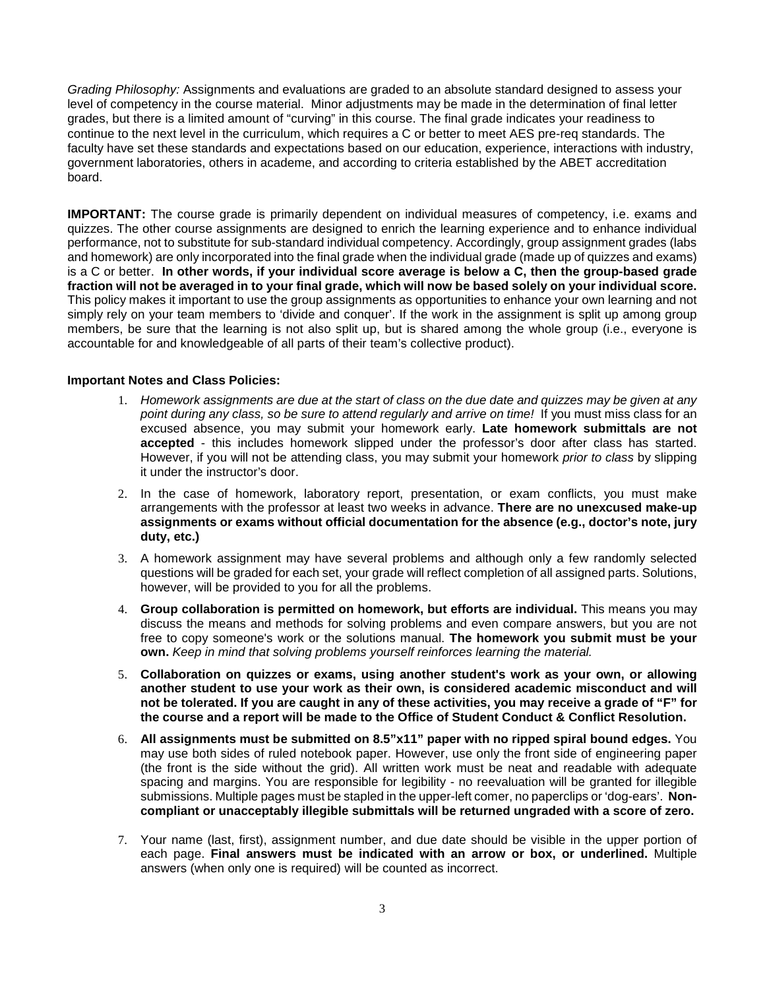*Grading Philosophy:* Assignments and evaluations are graded to an absolute standard designed to assess your level of competency in the course material. Minor adjustments may be made in the determination of final letter grades, but there is a limited amount of "curving" in this course. The final grade indicates your readiness to continue to the next level in the curriculum, which requires a C or better to meet AES pre-req standards. The faculty have set these standards and expectations based on our education, experience, interactions with industry, government laboratories, others in academe, and according to criteria established by the ABET accreditation board.

**IMPORTANT:** The course grade is primarily dependent on individual measures of competency, i.e. exams and quizzes. The other course assignments are designed to enrich the learning experience and to enhance individual performance, not to substitute for sub-standard individual competency. Accordingly, group assignment grades (labs and homework) are only incorporated into the final grade when the individual grade (made up of quizzes and exams) is a C or better. **In other words, if your individual score average is below a C, then the group-based grade fraction will not be averaged in to your final grade, which will now be based solely on your individual score.**  This policy makes it important to use the group assignments as opportunities to enhance your own learning and not simply rely on your team members to 'divide and conquer'. If the work in the assignment is split up among group members, be sure that the learning is not also split up, but is shared among the whole group (i.e., everyone is accountable for and knowledgeable of all parts of their team's collective product).

#### **Important Notes and Class Policies:**

- 1. *Homework assignments are due at the start of class on the due date and quizzes may be given at any point during any class, so be sure to attend regularly and arrive on time!* If you must miss class for an excused absence, you may submit your homework early. **Late homework submittals are not accepted** - this includes homework slipped under the professor's door after class has started. However, if you will not be attending class, you may submit your homework *prior to class* by slipping it under the instructor's door.
- 2. In the case of homework, laboratory report, presentation, or exam conflicts, you must make arrangements with the professor at least two weeks in advance. **There are no unexcused make-up assignments or exams without official documentation for the absence (e.g., doctor's note, jury duty, etc.)**
- 3. A homework assignment may have several problems and although only a few randomly selected questions will be graded for each set, your grade will reflect completion of all assigned parts. Solutions, however, will be provided to you for all the problems.
- 4. **Group collaboration is permitted on homework, but efforts are individual.** This means you may discuss the means and methods for solving problems and even compare answers, but you are not free to copy someone's work or the solutions manual. **The homework you submit must be your own.** *Keep in mind that solving problems yourself reinforces learning the material.*
- 5. **Collaboration on quizzes or exams, using another student's work as your own, or allowing another student to use your work as their own, is considered academic misconduct and will not be tolerated. If you are caught in any of these activities, you may receive a grade of "F" for the course and a report will be made to the Office of Student Conduct & Conflict Resolution.**
- 6. **All assignments must be submitted on 8.5"x11" paper with no ripped spiral bound edges.** You may use both sides of ruled notebook paper. However, use only the front side of engineering paper (the front is the side without the grid). All written work must be neat and readable with adequate spacing and margins. You are responsible for legibility - no reevaluation will be granted for illegible submissions. Multiple pages must be stapled in the upper-left comer, no paperclips or 'dog-ears'. **Noncompliant or unacceptably illegible submittals will be returned ungraded with a score of zero.**
- 7. Your name (last, first), assignment number, and due date should be visible in the upper portion of each page. **Final answers must be indicated with an arrow or box, or underlined.** Multiple answers (when only one is required) will be counted as incorrect.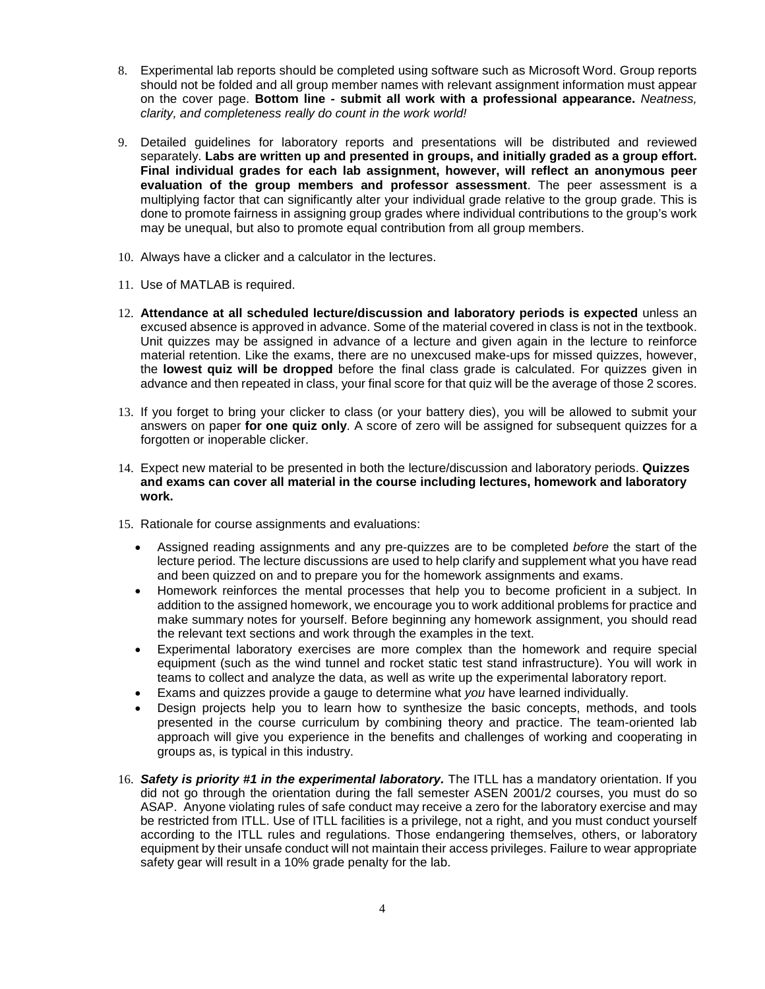- 8. Experimental lab reports should be completed using software such as Microsoft Word. Group reports should not be folded and all group member names with relevant assignment information must appear on the cover page. **Bottom line - submit all work with a professional appearance.** *Neatness, clarity, and completeness really do count in the work world!*
- 9. Detailed guidelines for laboratory reports and presentations will be distributed and reviewed separately. **Labs are written up and presented in groups, and initially graded as a group effort. Final individual grades for each lab assignment, however, will reflect an anonymous peer evaluation of the group members and professor assessment**. The peer assessment is a multiplying factor that can significantly alter your individual grade relative to the group grade. This is done to promote fairness in assigning group grades where individual contributions to the group's work may be unequal, but also to promote equal contribution from all group members.
- 10. Always have a clicker and a calculator in the lectures.
- 11. Use of MATLAB is required.
- 12. **Attendance at all scheduled lecture/discussion and laboratory periods is expected** unless an excused absence is approved in advance. Some of the material covered in class is not in the textbook. Unit quizzes may be assigned in advance of a lecture and given again in the lecture to reinforce material retention. Like the exams, there are no unexcused make-ups for missed quizzes, however, the **lowest quiz will be dropped** before the final class grade is calculated. For quizzes given in advance and then repeated in class, your final score for that quiz will be the average of those 2 scores.
- 13. If you forget to bring your clicker to class (or your battery dies), you will be allowed to submit your answers on paper **for one quiz only**. A score of zero will be assigned for subsequent quizzes for a forgotten or inoperable clicker.
- 14. Expect new material to be presented in both the lecture/discussion and laboratory periods. **Quizzes and exams can cover all material in the course including lectures, homework and laboratory work.**
- 15. Rationale for course assignments and evaluations:
	- Assigned reading assignments and any pre-quizzes are to be completed *before* the start of the lecture period. The lecture discussions are used to help clarify and supplement what you have read and been quizzed on and to prepare you for the homework assignments and exams.
	- Homework reinforces the mental processes that help you to become proficient in a subject. In addition to the assigned homework, we encourage you to work additional problems for practice and make summary notes for yourself. Before beginning any homework assignment, you should read the relevant text sections and work through the examples in the text.
	- Experimental laboratory exercises are more complex than the homework and require special equipment (such as the wind tunnel and rocket static test stand infrastructure). You will work in teams to collect and analyze the data, as well as write up the experimental laboratory report.
	- Exams and quizzes provide a gauge to determine what *you* have learned individually.
	- Design projects help you to learn how to synthesize the basic concepts, methods, and tools presented in the course curriculum by combining theory and practice. The team-oriented lab approach will give you experience in the benefits and challenges of working and cooperating in groups as, is typical in this industry.
- 16. *Safety is priority #1 in the experimental laboratory.* The ITLL has a mandatory orientation. If you did not go through the orientation during the fall semester ASEN 2001/2 courses, you must do so ASAP. Anyone violating rules of safe conduct may receive a zero for the laboratory exercise and may be restricted from ITLL. Use of ITLL facilities is a privilege, not a right, and you must conduct yourself according to the ITLL rules and regulations. Those endangering themselves, others, or laboratory equipment by their unsafe conduct will not maintain their access privileges. Failure to wear appropriate safety gear will result in a 10% grade penalty for the lab.